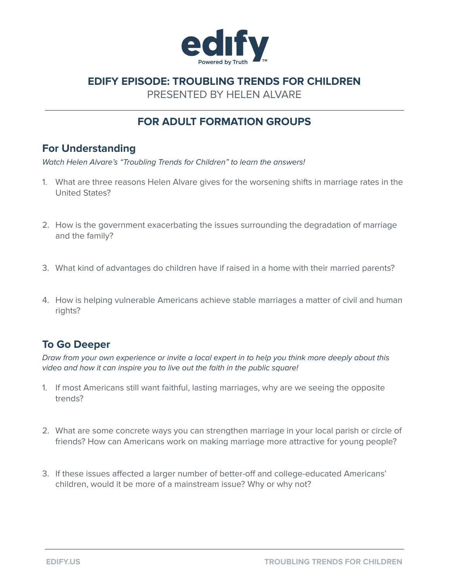

# **EDIFY EPISODE: TROUBLING TRENDS FOR CHILDREN**

PRESENTED BY HELEN ALVARE

# **FOR ADULT FORMATION GROUPS**

### **For Understanding**

Watch Helen Alvare's "Troubling Trends for Children" to learn the answers!

- 1. What are three reasons Helen Alvare gives for the worsening shifts in marriage rates in the United States?
- 2. How is the government exacerbating the issues surrounding the degradation of marriage and the family?
- 3. What kind of advantages do children have if raised in a home with their married parents?
- 4. How is helping vulnerable Americans achieve stable marriages a matter of civil and human rights?

## **To Go Deeper**

Draw from your own experience or invite a local expert in to help you think more deeply about this video and how it can inspire you to live out the faith in the public square!

- 1. If most Americans still want faithful, lasting marriages, why are we seeing the opposite trends?
- 2. What are some concrete ways you can strengthen marriage in your local parish or circle of friends? How can Americans work on making marriage more attractive for young people?
- 3. If these issues affected a larger number of better-off and college-educated Americans' children, would it be more of a mainstream issue? Why or why not?